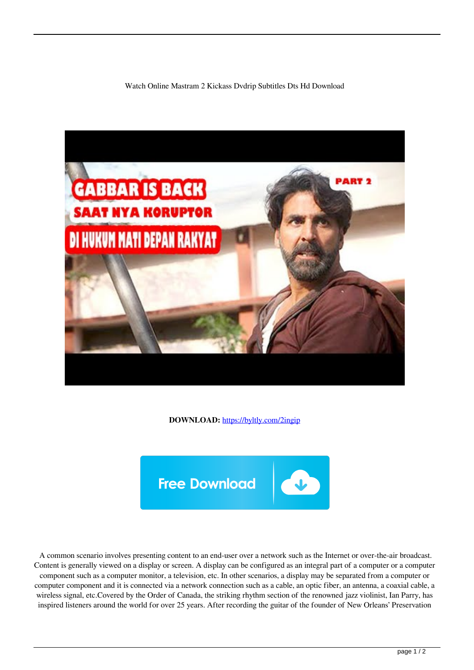Watch Online Mastram 2 Kickass Dvdrip Subtitles Dts Hd Download



**DOWNLOAD:** <https://byltly.com/2ingip>



 A common scenario involves presenting content to an end-user over a network such as the Internet or over-the-air broadcast. Content is generally viewed on a display or screen. A display can be configured as an integral part of a computer or a computer component such as a computer monitor, a television, etc. In other scenarios, a display may be separated from a computer or computer component and it is connected via a network connection such as a cable, an optic fiber, an antenna, a coaxial cable, a wireless signal, etc.Covered by the Order of Canada, the striking rhythm section of the renowned jazz violinist, Ian Parry, has inspired listeners around the world for over 25 years. After recording the guitar of the founder of New Orleans' Preservation